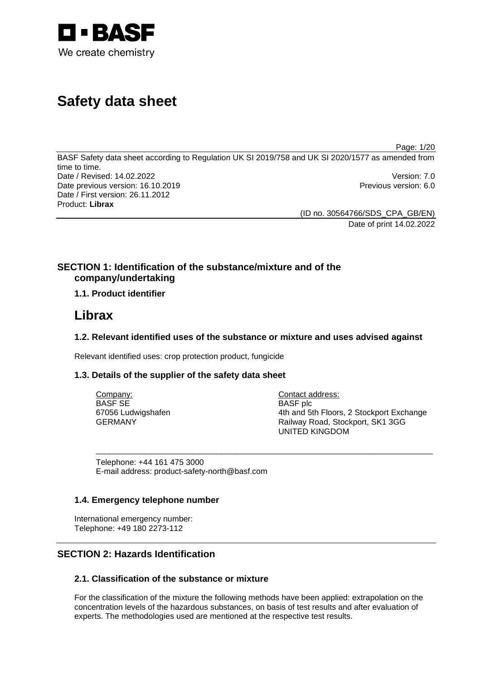

# **Safety data sheet**

Page: 1/20

BASF Safety data sheet according to Regulation UK SI 2019/758 and UK SI 2020/1577 as amended from time to time. Date / Revised: 14.02.2022 Version: 7.0 Date previous version: 16.10.2019 **Previous version: 6.0** Previous version: 6.0 Date / First version: 26.11.2012 Product: **Librax** 

> (ID no. 30564766/SDS\_CPA\_GB/EN) Date of print 14.02.2022

# **SECTION 1: Identification of the substance/mixture and of the company/undertaking**

# **1.1. Product identifier**

# **Librax**

# **1.2. Relevant identified uses of the substance or mixture and uses advised against**

Relevant identified uses: crop protection product, fungicide

# **1.3. Details of the supplier of the safety data sheet**

| Company:           | Contact address:                         |
|--------------------|------------------------------------------|
| BASF SE            | <b>BASF</b> plc                          |
| 67056 Ludwigshafen | 4th and 5th Floors, 2 Stockport Exchange |
| GERMANY            | Railway Road, Stockport, SK1 3GG         |
|                    | <b>UNITED KINGDOM</b>                    |

\_\_\_\_\_\_\_\_\_\_\_\_\_\_\_\_\_\_\_\_\_\_\_\_\_\_\_\_\_\_\_\_\_\_\_\_\_\_\_\_\_\_\_\_\_\_\_\_\_\_\_\_\_\_\_\_\_\_\_\_\_\_\_\_\_\_\_\_\_\_\_\_\_\_\_

Telephone: +44 161 475 3000 E-mail address: product-safety-north@basf.com

# **1.4. Emergency telephone number**

International emergency number: Telephone: +49 180 2273-112

# **SECTION 2: Hazards Identification**

# **2.1. Classification of the substance or mixture**

For the classification of the mixture the following methods have been applied: extrapolation on the concentration levels of the hazardous substances, on basis of test results and after evaluation of experts. The methodologies used are mentioned at the respective test results.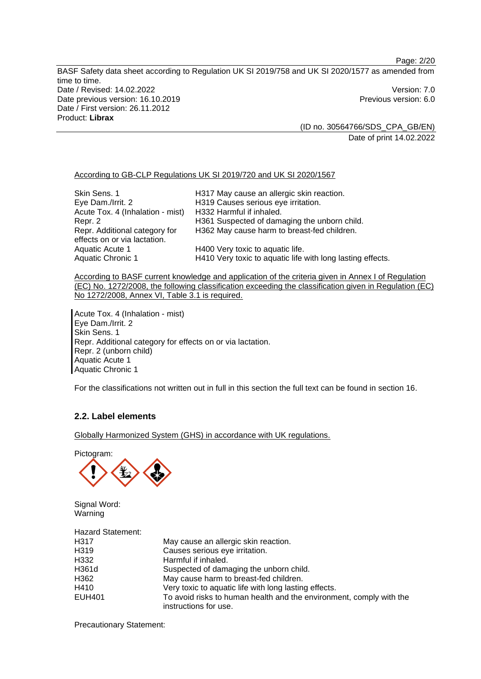Page: 2/20

BASF Safety data sheet according to Regulation UK SI 2019/758 and UK SI 2020/1577 as amended from time to time. Date / Revised: 14.02.2022 Version: 7.0 Date previous version: 16.10.2019 **Previous version: 6.0** Previous version: 6.0 Date / First version: 26.11.2012 Product: **Librax** 

> (ID no. 30564766/SDS\_CPA\_GB/EN) Date of print 14.02.2022

#### According to GB-CLP Regulations UK SI 2019/720 and UK SI 2020/1567

| Skin Sens. 1<br>Eye Dam./Irrit. 2<br>Acute Tox. 4 (Inhalation - mist)<br>Repr. 2<br>Repr. Additional category for | H317 May cause an allergic skin reaction.<br>H319 Causes serious eye irritation.<br>H332 Harmful if inhaled.<br>H361 Suspected of damaging the unborn child.<br>H362 May cause harm to breast-fed children. |
|-------------------------------------------------------------------------------------------------------------------|-------------------------------------------------------------------------------------------------------------------------------------------------------------------------------------------------------------|
| effects on or via lactation.                                                                                      |                                                                                                                                                                                                             |
| Aquatic Acute 1                                                                                                   | H400 Very toxic to aquatic life.                                                                                                                                                                            |
| <b>Aquatic Chronic 1</b>                                                                                          | H410 Very toxic to aquatic life with long lasting effects.                                                                                                                                                  |

According to BASF current knowledge and application of the criteria given in Annex I of Regulation (EC) No. 1272/2008, the following classification exceeding the classification given in Regulation (EC) No 1272/2008, Annex VI, Table 3.1 is required.

Acute Tox. 4 (Inhalation - mist) Eye Dam./Irrit. 2 Skin Sens. 1 Repr. Additional category for effects on or via lactation. Repr. 2 (unborn child) Aquatic Acute 1 Aquatic Chronic 1

For the classifications not written out in full in this section the full text can be found in section 16.

# **2.2. Label elements**

Globally Harmonized System (GHS) in accordance with UK regulations.

Pictogram:



Signal Word: Warning

Hazard Statement:

| H <sub>3</sub> 17 | May cause an allergic skin reaction.                                |
|-------------------|---------------------------------------------------------------------|
| H319              | Causes serious eye irritation.                                      |
| H332              | Harmful if inhaled.                                                 |
| H361d             | Suspected of damaging the unborn child.                             |
| H362              | May cause harm to breast-fed children.                              |
| H410              | Very toxic to aquatic life with long lasting effects.               |
| <b>EUH401</b>     | To avoid risks to human health and the environment, comply with the |
|                   | instructions for use.                                               |

Precautionary Statement: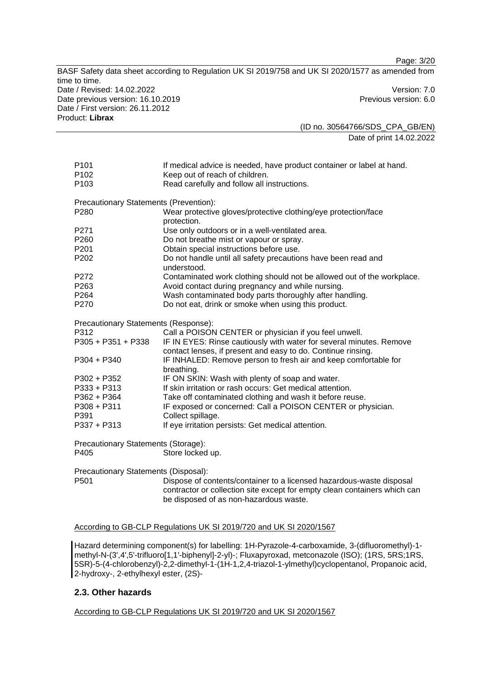Page: 3/20

BASF Safety data sheet according to Regulation UK SI 2019/758 and UK SI 2020/1577 as amended from time to time. Date / Revised: 14.02.2022 Version: 7.0 Date previous version: 16.10.2019 **Previous version: 6.0** Previous version: 6.0 Date / First version: 26.11.2012 Product: **Librax**  (ID no. 30564766/SDS\_CPA\_GB/EN)

Date of print 14.02.2022

| P <sub>101</sub>                       | If medical advice is needed, have product container or label at hand.        |
|----------------------------------------|------------------------------------------------------------------------------|
| P <sub>102</sub>                       | Keep out of reach of children.                                               |
| P103                                   | Read carefully and follow all instructions.                                  |
| Precautionary Statements (Prevention): |                                                                              |
| P280                                   | Wear protective gloves/protective clothing/eye protection/face               |
|                                        | protection.                                                                  |
| P271                                   | Use only outdoors or in a well-ventilated area.                              |
| P <sub>260</sub>                       | Do not breathe mist or vapour or spray.                                      |
| P201                                   | Obtain special instructions before use.                                      |
| P <sub>202</sub>                       | Do not handle until all safety precautions have been read and<br>understood. |
| P272                                   | Contaminated work clothing should not be allowed out of the workplace.       |
| P <sub>263</sub>                       | Avoid contact during pregnancy and while nursing.                            |
| P264                                   | Wash contaminated body parts thoroughly after handling.                      |
| P <sub>270</sub>                       | Do not eat, drink or smoke when using this product.                          |
| Precautionary Statements (Response):   |                                                                              |
| P312                                   | Call a POISON CENTER or physician if you feel unwell.                        |
| P305 + P351 + P338                     | IF IN EYES: Rinse cautiously with water for several minutes. Remove          |
|                                        | contact lenses, if present and easy to do. Continue rinsing.                 |
|                                        |                                                                              |
| $P304 + P340$                          | IF INHALED: Remove person to fresh air and keep comfortable for              |
|                                        | breathing.                                                                   |
| P302 + P352                            | IF ON SKIN: Wash with plenty of soap and water.                              |
| $P333 + P313$                          | If skin irritation or rash occurs: Get medical attention.                    |
| P362 + P364                            | Take off contaminated clothing and wash it before reuse.                     |
| $P308 + P311$                          | IF exposed or concerned: Call a POISON CENTER or physician.                  |
| P391                                   | Collect spillage.                                                            |
| P337 + P313                            | If eye irritation persists: Get medical attention.                           |
| Precautionary Statements (Storage):    |                                                                              |
| P405                                   | Store locked up.                                                             |
|                                        |                                                                              |

P501 Dispose of contents/container to a licensed hazardous-waste disposal contractor or collection site except for empty clean containers which can be disposed of as non-hazardous waste.

According to GB-CLP Regulations UK SI 2019/720 and UK SI 2020/1567

Hazard determining component(s) for labelling: 1H-Pyrazole-4-carboxamide, 3-(difluoromethyl)-1 methyl-N-(3',4',5'-trifluoro[1,1'-biphenyl]-2-yl)-; Fluxapyroxad, metconazole (ISO); (1RS, 5RS;1RS, 5SR)-5-(4-chlorobenzyl)-2,2-dimethyl-1-(1H-1,2,4-triazol-1-ylmethyl)cyclopentanol, Propanoic acid, 2-hydroxy-, 2-ethylhexyl ester, (2S)-

# **2.3. Other hazards**

According to GB-CLP Regulations UK SI 2019/720 and UK SI 2020/1567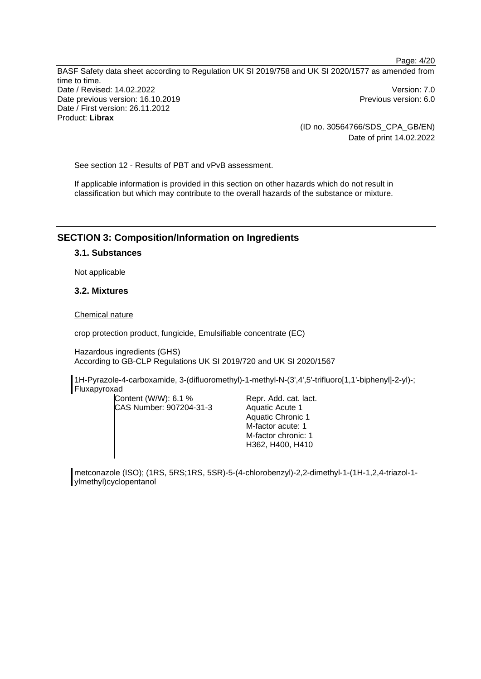> (ID no. 30564766/SDS\_CPA\_GB/EN) Date of print 14.02.2022

See section 12 - Results of PBT and vPvB assessment.

If applicable information is provided in this section on other hazards which do not result in classification but which may contribute to the overall hazards of the substance or mixture.

### **SECTION 3: Composition/Information on Ingredients**

# **3.1. Substances**

Not applicable

### **3.2. Mixtures**

#### Chemical nature

crop protection product, fungicide, Emulsifiable concentrate (EC)

Hazardous ingredients (GHS) According to GB-CLP Regulations UK SI 2019/720 and UK SI 2020/1567

1H-Pyrazole-4-carboxamide, 3-(difluoromethyl)-1-methyl-N-(3',4',5'-trifluoro[1,1'-biphenyl]-2-yl)-; Fluxapyroxad

Content (W/W): 6.1 % CAS Number: 907204-31-3

Repr. Add. cat. lact. Aquatic Acute 1 Aquatic Chronic 1 M-factor acute: 1 M-factor chronic: 1 H362, H400, H410

metconazole (ISO); (1RS, 5RS;1RS, 5SR)-5-(4-chlorobenzyl)-2,2-dimethyl-1-(1H-1,2,4-triazol-1 ylmethyl)cyclopentanol

Page: 4/20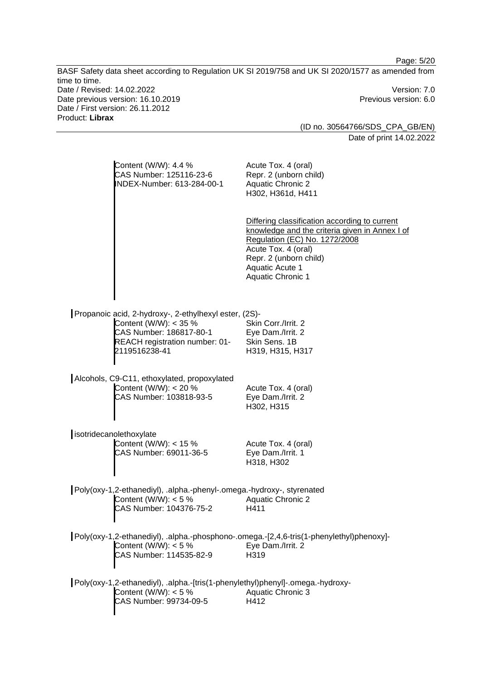|                                                                                                                                              | Page: 5/20                                                                                                                                                                                                                       |
|----------------------------------------------------------------------------------------------------------------------------------------------|----------------------------------------------------------------------------------------------------------------------------------------------------------------------------------------------------------------------------------|
| time to time.<br>Date / Revised: 14.02.2022                                                                                                  | BASF Safety data sheet according to Regulation UK SI 2019/758 and UK SI 2020/1577 as amended from<br>Version: 7.0                                                                                                                |
| Date previous version: 16.10.2019<br>Date / First version: 26.11.2012<br>Product: Librax                                                     | Previous version: 6.0                                                                                                                                                                                                            |
|                                                                                                                                              | (ID no. 30564766/SDS_CPA_GB/EN)                                                                                                                                                                                                  |
|                                                                                                                                              | Date of print 14.02.2022                                                                                                                                                                                                         |
| Content (W/W): 4.4 %<br>CAS Number: 125116-23-6<br>INDEX-Number: 613-284-00-1                                                                | Acute Tox. 4 (oral)<br>Repr. 2 (unborn child)<br><b>Aquatic Chronic 2</b><br>H302, H361d, H411                                                                                                                                   |
|                                                                                                                                              | Differing classification according to current<br>knowledge and the criteria given in Annex I of<br>Regulation (EC) No. 1272/2008<br>Acute Tox. 4 (oral)<br>Repr. 2 (unborn child)<br>Aquatic Acute 1<br><b>Aquatic Chronic 1</b> |
| Propanoic acid, 2-hydroxy-, 2-ethylhexyl ester, (2S)-                                                                                        |                                                                                                                                                                                                                                  |
| Content (W/W): < 35 %<br>CAS Number: 186817-80-1<br>REACH registration number: 01-<br>2119516238-41                                          | Skin Corr./Irrit. 2<br>Eye Dam./Irrit. 2<br>Skin Sens. 1B<br>H319, H315, H317                                                                                                                                                    |
| Alcohols, C9-C11, ethoxylated, propoxylated<br>Content (W/W): < 20 %<br>CAS Number: 103818-93-5                                              | Acute Tox. 4 (oral)<br>Eye Dam./Irrit. 2<br>H302, H315                                                                                                                                                                           |
| isotridecanolethoxylate<br>Content (W/W): < 15 %<br>CAS Number: 69011-36-5                                                                   | Acute Tox. 4 (oral)<br>Eye Dam./Irrit. 1<br>H318, H302                                                                                                                                                                           |
| Poly(oxy-1,2-ethanediyl), .alpha.-phenyl-.omega.-hydroxy-, styrenated<br>Content (W/W): $<$ 5 %<br>CAS Number: 104376-75-2                   | <b>Aquatic Chronic 2</b><br>H411                                                                                                                                                                                                 |
| Poly(oxy-1,2-ethanediyl), .alpha.-phosphono-.omega.-[2,4,6-tris(1-phenylethyl)phenoxy]-<br>Content (W/W): $<$ 5 %<br>CAS Number: 114535-82-9 | Eye Dam./Irrit. 2<br>H319                                                                                                                                                                                                        |
| Poly(oxy-1,2-ethanediyl), .alpha.-[tris(1-phenylethyl)phenyl]-.omega.-hydroxy-<br>Content (W/W): $<$ 5 %<br>CAS Number: 99734-09-5           | <b>Aquatic Chronic 3</b><br>H412                                                                                                                                                                                                 |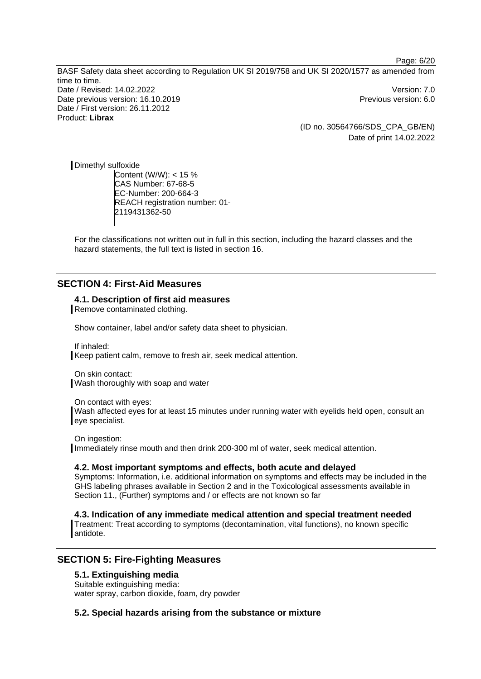> (ID no. 30564766/SDS\_CPA\_GB/EN) Date of print 14.02.2022

Page: 6/20

Dimethyl sulfoxide Content (W/W): < 15 % CAS Number: 67-68-5 EC-Number: 200-664-3 REACH registration number: 01- 2119431362-50

For the classifications not written out in full in this section, including the hazard classes and the hazard statements, the full text is listed in section 16.

# **SECTION 4: First-Aid Measures**

**4.1. Description of first aid measures** 

Remove contaminated clothing.

Show container, label and/or safety data sheet to physician.

If inhaled: Keep patient calm, remove to fresh air, seek medical attention.

On skin contact: Wash thoroughly with soap and water

On contact with eyes:

Wash affected eyes for at least 15 minutes under running water with eyelids held open, consult an eye specialist.

On ingestion:

Immediately rinse mouth and then drink 200-300 ml of water, seek medical attention.

### **4.2. Most important symptoms and effects, both acute and delayed**

Symptoms: Information, i.e. additional information on symptoms and effects may be included in the GHS labeling phrases available in Section 2 and in the Toxicological assessments available in Section 11., (Further) symptoms and / or effects are not known so far

**4.3. Indication of any immediate medical attention and special treatment needed** 

Treatment: Treat according to symptoms (decontamination, vital functions), no known specific antidote.

# **SECTION 5: Fire-Fighting Measures**

#### **5.1. Extinguishing media**

Suitable extinguishing media: water spray, carbon dioxide, foam, dry powder

**5.2. Special hazards arising from the substance or mixture**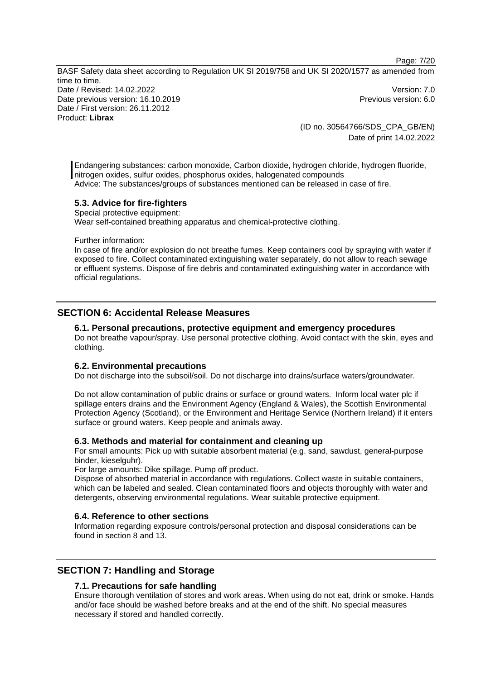Page: 7/20

BASF Safety data sheet according to Regulation UK SI 2019/758 and UK SI 2020/1577 as amended from time to time. Date / Revised: 14.02.2022 Version: 7.0 Date previous version: 16.10.2019 **Previous version: 6.0** Previous version: 6.0 Date / First version: 26.11.2012 Product: **Librax** 

(ID no. 30564766/SDS\_CPA\_GB/EN) Date of print 14.02.2022

Endangering substances: carbon monoxide, Carbon dioxide, hydrogen chloride, hydrogen fluoride, nitrogen oxides, sulfur oxides, phosphorus oxides, halogenated compounds Advice: The substances/groups of substances mentioned can be released in case of fire.

# **5.3. Advice for fire-fighters**

Special protective equipment: Wear self-contained breathing apparatus and chemical-protective clothing.

Further information:

In case of fire and/or explosion do not breathe fumes. Keep containers cool by spraying with water if exposed to fire. Collect contaminated extinguishing water separately, do not allow to reach sewage or effluent systems. Dispose of fire debris and contaminated extinguishing water in accordance with official regulations.

# **SECTION 6: Accidental Release Measures**

#### **6.1. Personal precautions, protective equipment and emergency procedures**

Do not breathe vapour/spray. Use personal protective clothing. Avoid contact with the skin, eyes and clothing.

#### **6.2. Environmental precautions**

Do not discharge into the subsoil/soil. Do not discharge into drains/surface waters/groundwater.

Do not allow contamination of public drains or surface or ground waters. Inform local water plc if spillage enters drains and the Environment Agency (England & Wales), the Scottish Environmental Protection Agency (Scotland), or the Environment and Heritage Service (Northern Ireland) if it enters surface or ground waters. Keep people and animals away.

#### **6.3. Methods and material for containment and cleaning up**

For small amounts: Pick up with suitable absorbent material (e.g. sand, sawdust, general-purpose binder, kieselguhr).

For large amounts: Dike spillage. Pump off product.

Dispose of absorbed material in accordance with regulations. Collect waste in suitable containers, which can be labeled and sealed. Clean contaminated floors and objects thoroughly with water and detergents, observing environmental regulations. Wear suitable protective equipment.

#### **6.4. Reference to other sections**

Information regarding exposure controls/personal protection and disposal considerations can be found in section 8 and 13.

# **SECTION 7: Handling and Storage**

# **7.1. Precautions for safe handling**

Ensure thorough ventilation of stores and work areas. When using do not eat, drink or smoke. Hands and/or face should be washed before breaks and at the end of the shift. No special measures necessary if stored and handled correctly.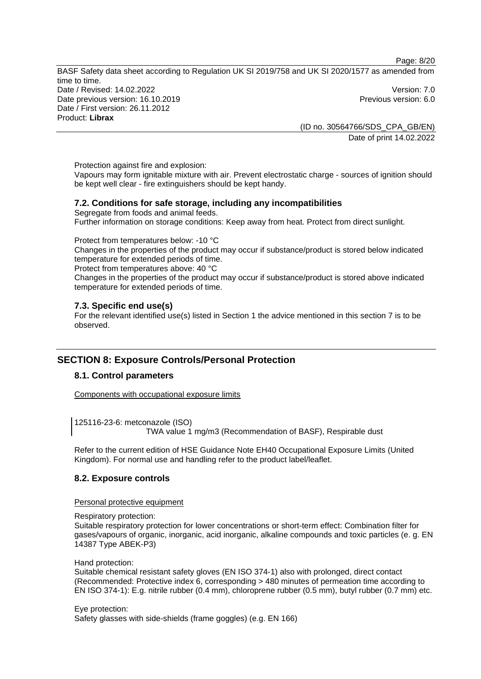Page: 8/20

BASF Safety data sheet according to Regulation UK SI 2019/758 and UK SI 2020/1577 as amended from time to time. Date / Revised: 14.02.2022 Version: 7.0 Date previous version: 16.10.2019 **Previous version: 6.0** Previous version: 6.0 Date / First version: 26.11.2012 Product: **Librax** 

(ID no. 30564766/SDS\_CPA\_GB/EN) Date of print 14.02.2022

Protection against fire and explosion:

Vapours may form ignitable mixture with air. Prevent electrostatic charge - sources of ignition should be kept well clear - fire extinguishers should be kept handy.

# **7.2. Conditions for safe storage, including any incompatibilities**

Segregate from foods and animal feeds. Further information on storage conditions: Keep away from heat. Protect from direct sunlight.

Protect from temperatures below: -10 °C

Changes in the properties of the product may occur if substance/product is stored below indicated temperature for extended periods of time.

Protect from temperatures above: 40 °C

Changes in the properties of the product may occur if substance/product is stored above indicated temperature for extended periods of time.

# **7.3. Specific end use(s)**

For the relevant identified use(s) listed in Section 1 the advice mentioned in this section 7 is to be observed.

# **SECTION 8: Exposure Controls/Personal Protection**

# **8.1. Control parameters**

Components with occupational exposure limits

125116-23-6: metconazole (ISO) TWA value 1 mg/m3 (Recommendation of BASF), Respirable dust

Refer to the current edition of HSE Guidance Note EH40 Occupational Exposure Limits (United Kingdom). For normal use and handling refer to the product label/leaflet.

# **8.2. Exposure controls**

Personal protective equipment

Respiratory protection:

Suitable respiratory protection for lower concentrations or short-term effect: Combination filter for gases/vapours of organic, inorganic, acid inorganic, alkaline compounds and toxic particles (e. g. EN 14387 Type ABEK-P3)

Hand protection:

Suitable chemical resistant safety gloves (EN ISO 374-1) also with prolonged, direct contact (Recommended: Protective index 6, corresponding > 480 minutes of permeation time according to EN ISO 374-1): E.g. nitrile rubber (0.4 mm), chloroprene rubber (0.5 mm), butyl rubber (0.7 mm) etc.

Eye protection: Safety glasses with side-shields (frame goggles) (e.g. EN 166)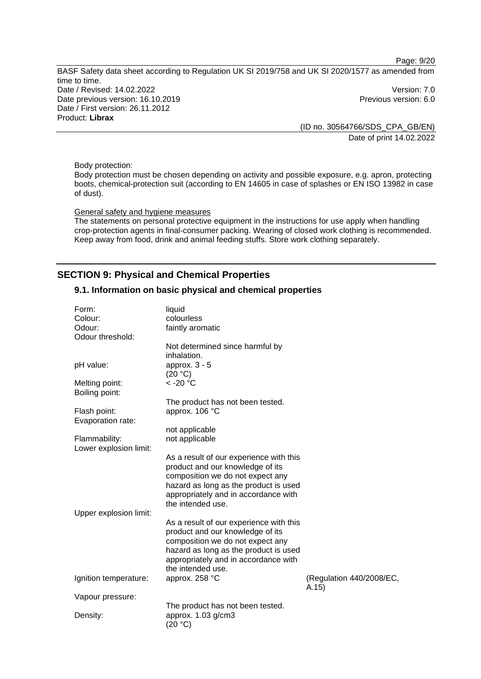Page: 9/20

BASF Safety data sheet according to Regulation UK SI 2019/758 and UK SI 2020/1577 as amended from time to time. Date / Revised: 14.02.2022 Version: 7.0 Date previous version: 16.10.2019 **Previous version: 6.0** Previous version: 6.0 Date / First version: 26.11.2012 Product: **Librax** 

(ID no. 30564766/SDS\_CPA\_GB/EN) Date of print 14.02.2022

Body protection:

Body protection must be chosen depending on activity and possible exposure, e.g. apron, protecting boots, chemical-protection suit (according to EN 14605 in case of splashes or EN ISO 13982 in case of dust).

### General safety and hygiene measures

The statements on personal protective equipment in the instructions for use apply when handling crop-protection agents in final-consumer packing. Wearing of closed work clothing is recommended. Keep away from food, drink and animal feeding stuffs. Store work clothing separately.

# **SECTION 9: Physical and Chemical Properties**

### **9.1. Information on basic physical and chemical properties**

| Form:                  | liquid                                  |                                    |
|------------------------|-----------------------------------------|------------------------------------|
| Colour:                | colourless                              |                                    |
| Odour:                 | faintly aromatic                        |                                    |
| Odour threshold:       |                                         |                                    |
|                        | Not determined since harmful by         |                                    |
|                        | inhalation.                             |                                    |
| pH value:              | approx. $3 - 5$                         |                                    |
|                        | (20 °C)                                 |                                    |
| Melting point:         | $<$ -20 $^{\circ}$ C                    |                                    |
| Boiling point:         |                                         |                                    |
|                        | The product has not been tested.        |                                    |
| Flash point:           | approx. 106 °C                          |                                    |
| Evaporation rate:      |                                         |                                    |
|                        | not applicable                          |                                    |
| Flammability:          | not applicable                          |                                    |
| Lower explosion limit: |                                         |                                    |
|                        | As a result of our experience with this |                                    |
|                        | product and our knowledge of its        |                                    |
|                        |                                         |                                    |
|                        | composition we do not expect any        |                                    |
|                        | hazard as long as the product is used   |                                    |
|                        | appropriately and in accordance with    |                                    |
|                        | the intended use.                       |                                    |
| Upper explosion limit: |                                         |                                    |
|                        | As a result of our experience with this |                                    |
|                        | product and our knowledge of its        |                                    |
|                        | composition we do not expect any        |                                    |
|                        | hazard as long as the product is used   |                                    |
|                        | appropriately and in accordance with    |                                    |
|                        | the intended use.                       |                                    |
| Ignition temperature:  | approx. 258 °C                          | (Regulation 440/2008/EC,<br>(A.15) |
| Vapour pressure:       |                                         |                                    |
|                        | The product has not been tested.        |                                    |
| Density:               | approx. 1.03 g/cm3                      |                                    |
|                        | (20 °C)                                 |                                    |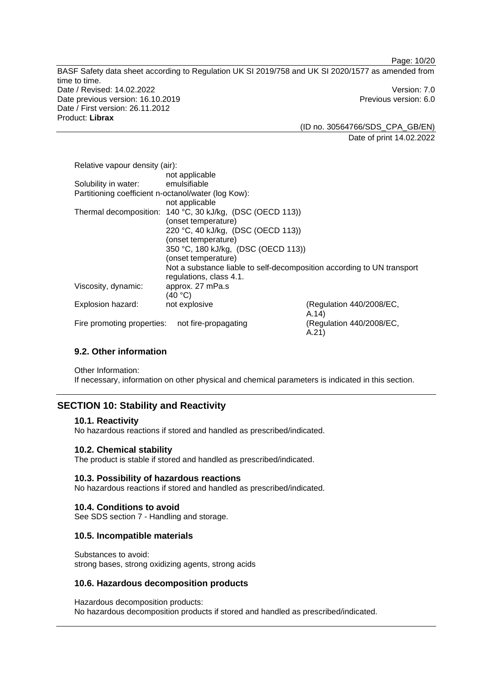Page: 10/20

BASF Safety data sheet according to Regulation UK SI 2019/758 and UK SI 2020/1577 as amended from time to time. Date / Revised: 14.02.2022 Version: 7.0 Date previous version: 16.10.2019 **Previous version: 6.0** Previous version: 6.0 Date / First version: 26.11.2012 Product: **Librax** 

(ID no. 30564766/SDS\_CPA\_GB/EN) Date of print 14.02.2022

| Relative vapour density (air):                      |                                                                        |                                   |
|-----------------------------------------------------|------------------------------------------------------------------------|-----------------------------------|
|                                                     | not applicable                                                         |                                   |
| Solubility in water:                                | emulsifiable                                                           |                                   |
| Partitioning coefficient n-octanol/water (log Kow): |                                                                        |                                   |
|                                                     | not applicable                                                         |                                   |
|                                                     | Thermal decomposition: 140 °C, 30 kJ/kg, (DSC (OECD 113))              |                                   |
|                                                     | (onset temperature)                                                    |                                   |
|                                                     | 220 °C, 40 kJ/kg, (DSC (OECD 113))                                     |                                   |
|                                                     | (onset temperature)                                                    |                                   |
|                                                     | 350 °C, 180 kJ/kg, (DSC (OECD 113))                                    |                                   |
|                                                     | (onset temperature)                                                    |                                   |
|                                                     | Not a substance liable to self-decomposition according to UN transport |                                   |
|                                                     | regulations, class 4.1.                                                |                                   |
| Viscosity, dynamic:                                 | approx. 27 mPa.s                                                       |                                   |
|                                                     | (40 °C)                                                                |                                   |
| Explosion hazard:                                   | not explosive                                                          | (Regulation 440/2008/EC,          |
|                                                     |                                                                        | (A.14)                            |
| Fire promoting properties:                          | not fire-propagating                                                   | (Regulation 440/2008/EC,<br>A.21) |

# **9.2. Other information**

Other Information:

If necessary, information on other physical and chemical parameters is indicated in this section.

# **SECTION 10: Stability and Reactivity**

#### **10.1. Reactivity**

No hazardous reactions if stored and handled as prescribed/indicated.

#### **10.2. Chemical stability**

The product is stable if stored and handled as prescribed/indicated.

#### **10.3. Possibility of hazardous reactions**

No hazardous reactions if stored and handled as prescribed/indicated.

### **10.4. Conditions to avoid**

See SDS section 7 - Handling and storage.

### **10.5. Incompatible materials**

Substances to avoid: strong bases, strong oxidizing agents, strong acids

# **10.6. Hazardous decomposition products**

Hazardous decomposition products: No hazardous decomposition products if stored and handled as prescribed/indicated.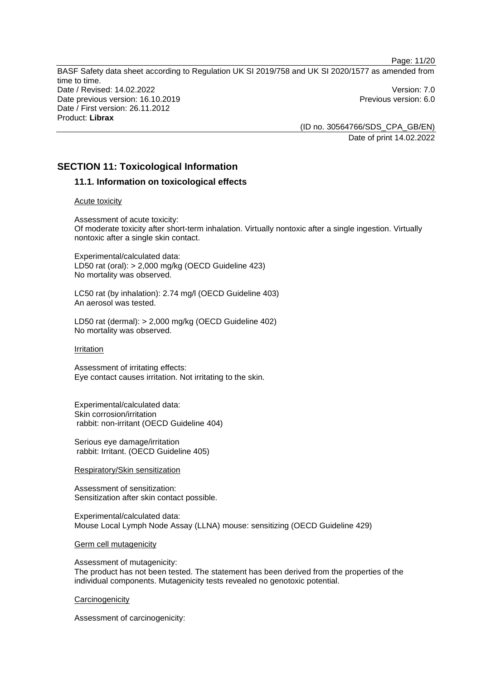(ID no. 30564766/SDS\_CPA\_GB/EN) Date of print 14.02.2022

Page: 11/20

# **SECTION 11: Toxicological Information**

# **11.1. Information on toxicological effects**

#### Acute toxicity

Assessment of acute toxicity: Of moderate toxicity after short-term inhalation. Virtually nontoxic after a single ingestion. Virtually nontoxic after a single skin contact.

Experimental/calculated data: LD50 rat (oral): > 2,000 mg/kg (OECD Guideline 423) No mortality was observed.

LC50 rat (by inhalation): 2.74 mg/l (OECD Guideline 403) An aerosol was tested.

LD50 rat (dermal): > 2,000 mg/kg (OECD Guideline 402) No mortality was observed.

#### Irritation

Assessment of irritating effects: Eye contact causes irritation. Not irritating to the skin.

Experimental/calculated data: Skin corrosion/irritation rabbit: non-irritant (OECD Guideline 404)

Serious eye damage/irritation rabbit: Irritant. (OECD Guideline 405)

#### Respiratory/Skin sensitization

Assessment of sensitization: Sensitization after skin contact possible.

Experimental/calculated data: Mouse Local Lymph Node Assay (LLNA) mouse: sensitizing (OECD Guideline 429)

#### Germ cell mutagenicity

Assessment of mutagenicity: The product has not been tested. The statement has been derived from the properties of the individual components. Mutagenicity tests revealed no genotoxic potential.

#### **Carcinogenicity**

Assessment of carcinogenicity: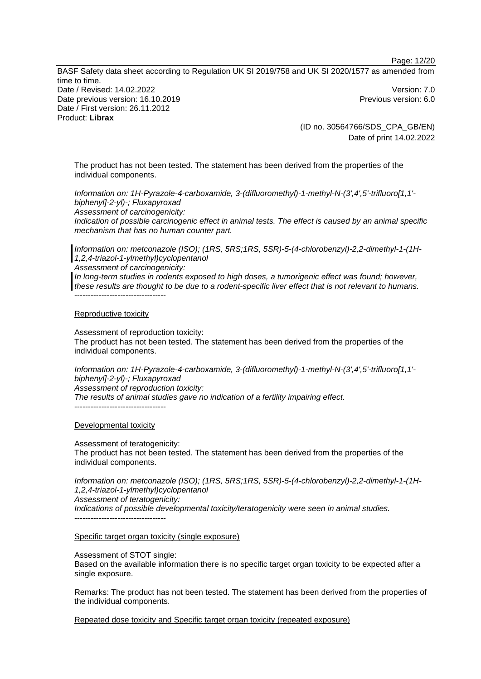Page: 12/20

BASF Safety data sheet according to Regulation UK SI 2019/758 and UK SI 2020/1577 as amended from time to time. Date / Revised: 14.02.2022 Version: 7.0 Date previous version: 16.10.2019 **Previous version: 6.0** Previous version: 6.0 Date / First version: 26.11.2012 Product: **Librax** 

(ID no. 30564766/SDS\_CPA\_GB/EN) Date of print 14.02.2022

The product has not been tested. The statement has been derived from the properties of the individual components.

*Information on: 1H-Pyrazole-4-carboxamide, 3-(difluoromethyl)-1-methyl-N-(3',4',5'-trifluoro[1,1' biphenyl]-2-yl)-; Fluxapyroxad*

*Assessment of carcinogenicity:* 

*Indication of possible carcinogenic effect in animal tests. The effect is caused by an animal specific mechanism that has no human counter part.* 

*Information on: metconazole (ISO); (1RS, 5RS;1RS, 5SR)-5-(4-chlorobenzyl)-2,2-dimethyl-1-(1H-1,2,4-triazol-1-ylmethyl)cyclopentanol*

*Assessment of carcinogenicity:* 

*In long-term studies in rodents exposed to high doses, a tumorigenic effect was found; however, these results are thought to be due to a rodent-specific liver effect that is not relevant to humans.*  ----------------------------------

#### Reproductive toxicity

Assessment of reproduction toxicity: The product has not been tested. The statement has been derived from the properties of the individual components.

*Information on: 1H-Pyrazole-4-carboxamide, 3-(difluoromethyl)-1-methyl-N-(3',4',5'-trifluoro[1,1' biphenyl]-2-yl)-; Fluxapyroxad*

*Assessment of reproduction toxicity:* 

*The results of animal studies gave no indication of a fertility impairing effect.* 

#### Developmental toxicity

----------------------------------

Assessment of teratogenicity: The product has not been tested. The statement has been derived from the properties of the individual components.

*Information on: metconazole (ISO); (1RS, 5RS;1RS, 5SR)-5-(4-chlorobenzyl)-2,2-dimethyl-1-(1H-1,2,4-triazol-1-ylmethyl)cyclopentanol*

*Assessment of teratogenicity:* 

*Indications of possible developmental toxicity/teratogenicity were seen in animal studies.*   $-$ 

# Specific target organ toxicity (single exposure)

Assessment of STOT single:

Based on the available information there is no specific target organ toxicity to be expected after a single exposure.

Remarks: The product has not been tested. The statement has been derived from the properties of the individual components.

Repeated dose toxicity and Specific target organ toxicity (repeated exposure)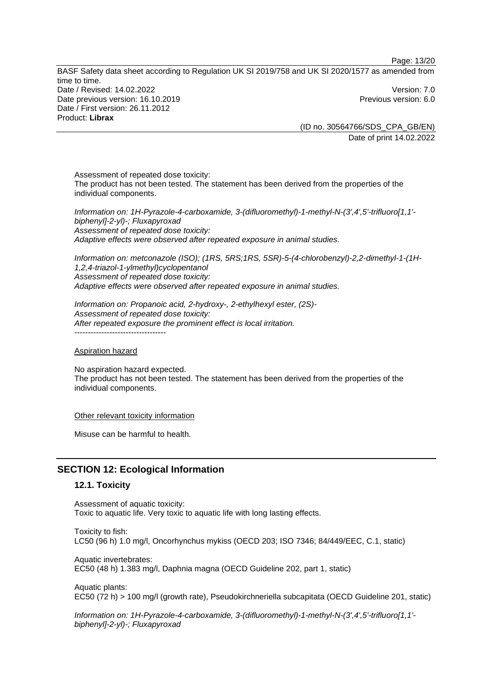Page: 13/20

BASF Safety data sheet according to Regulation UK SI 2019/758 and UK SI 2020/1577 as amended from time to time. Date / Revised: 14.02.2022 Version: 7.0 Date previous version: 16.10.2019 **Previous version: 6.0** Previous version: 6.0 Date / First version: 26.11.2012 Product: **Librax** 

(ID no. 30564766/SDS\_CPA\_GB/EN) Date of print 14.02.2022

Assessment of repeated dose toxicity: The product has not been tested. The statement has been derived from the properties of the individual components.

*Information on: 1H-Pyrazole-4-carboxamide, 3-(difluoromethyl)-1-methyl-N-(3',4',5'-trifluoro[1,1' biphenyl]-2-yl)-; Fluxapyroxad Assessment of repeated dose toxicity: Adaptive effects were observed after repeated exposure in animal studies.* 

*Information on: metconazole (ISO); (1RS, 5RS;1RS, 5SR)-5-(4-chlorobenzyl)-2,2-dimethyl-1-(1H-1,2,4-triazol-1-ylmethyl)cyclopentanol Assessment of repeated dose toxicity: Adaptive effects were observed after repeated exposure in animal studies.* 

*Information on: Propanoic acid, 2-hydroxy-, 2-ethylhexyl ester, (2S)- Assessment of repeated dose toxicity: After repeated exposure the prominent effect is local irritation.*  -----------------------------------

#### Aspiration hazard

No aspiration hazard expected. The product has not been tested. The statement has been derived from the properties of the individual components.

#### Other relevant toxicity information

Misuse can be harmful to health.

# **SECTION 12: Ecological Information**

#### **12.1. Toxicity**

Assessment of aquatic toxicity: Toxic to aquatic life. Very toxic to aquatic life with long lasting effects.

Toxicity to fish: LC50 (96 h) 1.0 mg/l, Oncorhynchus mykiss (OECD 203; ISO 7346; 84/449/EEC, C.1, static)

Aquatic invertebrates: EC50 (48 h) 1.383 mg/l, Daphnia magna (OECD Guideline 202, part 1, static)

Aquatic plants: EC50 (72 h) > 100 mg/l (growth rate), Pseudokirchneriella subcapitata (OECD Guideline 201, static)

*Information on: 1H-Pyrazole-4-carboxamide, 3-(difluoromethyl)-1-methyl-N-(3',4',5'-trifluoro[1,1' biphenyl]-2-yl)-; Fluxapyroxad*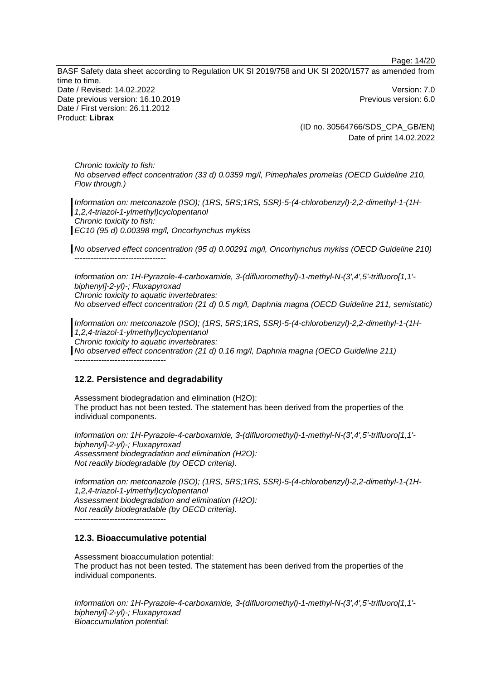Page: 14/20

BASF Safety data sheet according to Regulation UK SI 2019/758 and UK SI 2020/1577 as amended from time to time. Date / Revised: 14.02.2022 Version: 7.0 Date previous version: 16.10.2019 **Previous version: 6.0** Previous version: 6.0 Date / First version: 26.11.2012 Product: **Librax** 

(ID no. 30564766/SDS\_CPA\_GB/EN) Date of print 14.02.2022

*Chronic toxicity to fish: No observed effect concentration (33 d) 0.0359 mg/l, Pimephales promelas (OECD Guideline 210, Flow through.)* 

*Information on: metconazole (ISO); (1RS, 5RS;1RS, 5SR)-5-(4-chlorobenzyl)-2,2-dimethyl-1-(1H-1,2,4-triazol-1-ylmethyl)cyclopentanol Chronic toxicity to fish: EC10 (95 d) 0.00398 mg/l, Oncorhynchus mykiss* 

*No observed effect concentration (95 d) 0.00291 mg/l, Oncorhynchus mykiss (OECD Guideline 210)*  ----------------------------------

*Information on: 1H-Pyrazole-4-carboxamide, 3-(difluoromethyl)-1-methyl-N-(3',4',5'-trifluoro[1,1' biphenyl]-2-yl)-; Fluxapyroxad Chronic toxicity to aquatic invertebrates: No observed effect concentration (21 d) 0.5 mg/l, Daphnia magna (OECD Guideline 211, semistatic)* 

*Information on: metconazole (ISO); (1RS, 5RS;1RS, 5SR)-5-(4-chlorobenzyl)-2,2-dimethyl-1-(1H-1,2,4-triazol-1-ylmethyl)cyclopentanol* 

*Chronic toxicity to aquatic invertebrates:* 

*No observed effect concentration (21 d) 0.16 mg/l, Daphnia magna (OECD Guideline 211)*  ----------------------------------

# **12.2. Persistence and degradability**

Assessment biodegradation and elimination (H2O): The product has not been tested. The statement has been derived from the properties of the individual components.

*Information on: 1H-Pyrazole-4-carboxamide, 3-(difluoromethyl)-1-methyl-N-(3',4',5'-trifluoro[1,1' biphenyl]-2-yl)-; Fluxapyroxad Assessment biodegradation and elimination (H2O): Not readily biodegradable (by OECD criteria).* 

*Information on: metconazole (ISO); (1RS, 5RS;1RS, 5SR)-5-(4-chlorobenzyl)-2,2-dimethyl-1-(1H-1,2,4-triazol-1-ylmethyl)cyclopentanol Assessment biodegradation and elimination (H2O): Not readily biodegradable (by OECD criteria).* 

----------------------------------

# **12.3. Bioaccumulative potential**

Assessment bioaccumulation potential: The product has not been tested. The statement has been derived from the properties of the individual components.

*Information on: 1H-Pyrazole-4-carboxamide, 3-(difluoromethyl)-1-methyl-N-(3',4',5'-trifluoro[1,1' biphenyl]-2-yl)-; Fluxapyroxad Bioaccumulation potential:*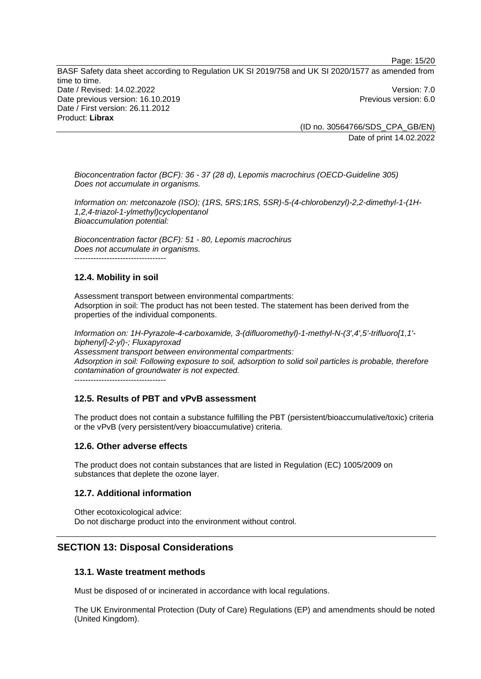Page: 15/20

BASF Safety data sheet according to Regulation UK SI 2019/758 and UK SI 2020/1577 as amended from time to time. Date / Revised: 14.02.2022 Version: 7.0 Date previous version: 16.10.2019 **Previous version: 6.0** Previous version: 6.0 Date / First version: 26.11.2012 Product: **Librax** 

(ID no. 30564766/SDS\_CPA\_GB/EN) Date of print 14.02.2022

*Bioconcentration factor (BCF): 36 - 37 (28 d), Lepomis macrochirus (OECD-Guideline 305) Does not accumulate in organisms.* 

*Information on: metconazole (ISO); (1RS, 5RS;1RS, 5SR)-5-(4-chlorobenzyl)-2,2-dimethyl-1-(1H-1,2,4-triazol-1-ylmethyl)cyclopentanol Bioaccumulation potential:* 

*Bioconcentration factor (BCF): 51 - 80, Lepomis macrochirus Does not accumulate in organisms.*  ----------------------------------

# **12.4. Mobility in soil**

Assessment transport between environmental compartments: Adsorption in soil: The product has not been tested. The statement has been derived from the properties of the individual components.

*Information on: 1H-Pyrazole-4-carboxamide, 3-(difluoromethyl)-1-methyl-N-(3',4',5'-trifluoro[1,1' biphenyl]-2-yl)-; Fluxapyroxad Assessment transport between environmental compartments: Adsorption in soil: Following exposure to soil, adsorption to solid soil particles is probable, therefore contamination of groundwater is not expected.* ----------------------------------

# **12.5. Results of PBT and vPvB assessment**

The product does not contain a substance fulfilling the PBT (persistent/bioaccumulative/toxic) criteria or the vPvB (very persistent/very bioaccumulative) criteria.

# **12.6. Other adverse effects**

The product does not contain substances that are listed in Regulation (EC) 1005/2009 on substances that deplete the ozone layer.

# **12.7. Additional information**

Other ecotoxicological advice: Do not discharge product into the environment without control.

# **SECTION 13: Disposal Considerations**

# **13.1. Waste treatment methods**

Must be disposed of or incinerated in accordance with local regulations.

The UK Environmental Protection (Duty of Care) Regulations (EP) and amendments should be noted (United Kingdom).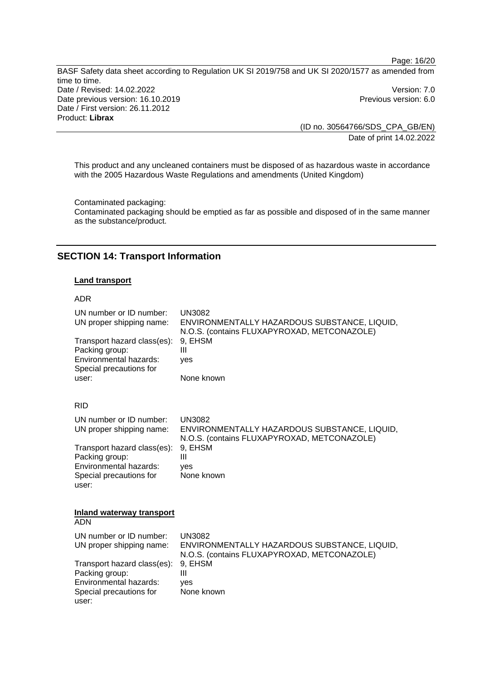Page: 16/20

BASF Safety data sheet according to Regulation UK SI 2019/758 and UK SI 2020/1577 as amended from time to time. Date / Revised: 14.02.2022 Version: 7.0 Date previous version: 16.10.2019 **Previous version: 6.0** Previous version: 6.0 Date / First version: 26.11.2012 Product: **Librax** 

(ID no. 30564766/SDS\_CPA\_GB/EN) Date of print 14.02.2022

This product and any uncleaned containers must be disposed of as hazardous waste in accordance with the 2005 Hazardous Waste Regulations and amendments (United Kingdom)

Contaminated packaging: Contaminated packaging should be emptied as far as possible and disposed of in the same manner as the substance/product.

# **SECTION 14: Transport Information**

#### **Land transport**

### ADR

| UN number or ID number:<br>UN proper shipping name:<br>Transport hazard class(es):<br>Packing group:<br>Environmental hazards:<br>Special precautions for | <b>UN3082</b><br>ENVIRONMENTALLY HAZARDOUS SUBSTANCE, LIQUID,<br>N.O.S. (contains FLUXAPYROXAD, METCONAZOLE)<br>9, EHSM<br>Ш<br>ves |
|-----------------------------------------------------------------------------------------------------------------------------------------------------------|-------------------------------------------------------------------------------------------------------------------------------------|
| user:                                                                                                                                                     | None known                                                                                                                          |
| <b>RID</b>                                                                                                                                                |                                                                                                                                     |
| UN number or ID number:<br>UN proper shipping name:                                                                                                       | <b>UN3082</b><br>ENVIRONMENTALLY HAZARDOUS SUBSTANCE, LIQUID,<br>N.O.S. (contains FLUXAPYROXAD, METCONAZOLE)                        |
| Transport hazard class(es):<br>Packing group:<br>Environmental hazards:<br>Special precautions for<br>user:                                               | 9. EHSM<br>Ш<br>ves<br>None known                                                                                                   |
| Inland waterway transport<br><b>ADN</b>                                                                                                                   |                                                                                                                                     |
| UN number or ID number:<br>UN proper shipping name:                                                                                                       | <b>UN3082</b><br>ENVIRONMENTALLY HAZARDOUS SUBSTANCE, LIQUID,<br>N.O.S. (contains FLUXAPYROXAD, METCONAZOLE)                        |
| Transport hazard class(es):<br>Packing group:<br>Environmental hazards:<br>Special precautions for<br>user:                                               | 9, EHSM<br>Ш<br>ves<br>None known                                                                                                   |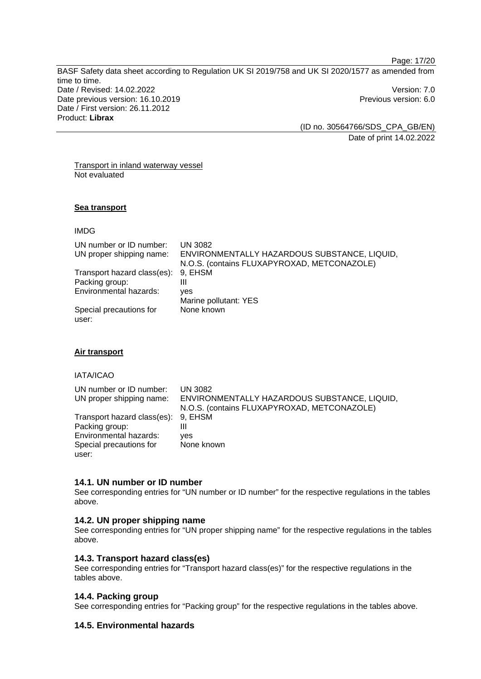Page: 17/20

BASF Safety data sheet according to Regulation UK SI 2019/758 and UK SI 2020/1577 as amended from time to time. Date / Revised: 14.02.2022 Version: 7.0 Date previous version: 16.10.2019 **Previous version: 6.0** Previous version: 6.0 Date / First version: 26.11.2012 Product: **Librax** 

(ID no. 30564766/SDS\_CPA\_GB/EN) Date of print 14.02.2022

Transport in inland waterway vessel Not evaluated

#### **Sea transport**

IMDG

| UN number or ID number:     | <b>UN 3082</b>                               |
|-----------------------------|----------------------------------------------|
| UN proper shipping name:    | ENVIRONMENTALLY HAZARDOUS SUBSTANCE, LIQUID, |
|                             | N.O.S. (contains FLUXAPYROXAD, METCONAZOLE)  |
| Transport hazard class(es): | 9. EHSM                                      |
| Packing group:              | Ш                                            |
| Environmental hazards:      | ves                                          |
|                             | Marine pollutant: YES                        |
| Special precautions for     | None known                                   |
| user:                       |                                              |

# **Air transport**

IATA/ICAO

| UN number or ID number:<br>UN proper shipping name: | UN 3082<br>ENVIRONMENTALLY HAZARDOUS SUBSTANCE, LIQUID,<br>N.O.S. (contains FLUXAPYROXAD, METCONAZOLE) |
|-----------------------------------------------------|--------------------------------------------------------------------------------------------------------|
| Transport hazard class(es): 9, EHSM                 |                                                                                                        |
| Packing group:                                      | Ш                                                                                                      |
| Environmental hazards:                              | ves                                                                                                    |
| Special precautions for                             | None known                                                                                             |
| user:                                               |                                                                                                        |

#### **14.1. UN number or ID number**

See corresponding entries for "UN number or ID number" for the respective regulations in the tables above.

#### **14.2. UN proper shipping name**

See corresponding entries for "UN proper shipping name" for the respective regulations in the tables above.

#### **14.3. Transport hazard class(es)**

See corresponding entries for "Transport hazard class(es)" for the respective regulations in the tables above.

#### **14.4. Packing group**

See corresponding entries for "Packing group" for the respective regulations in the tables above.

# **14.5. Environmental hazards**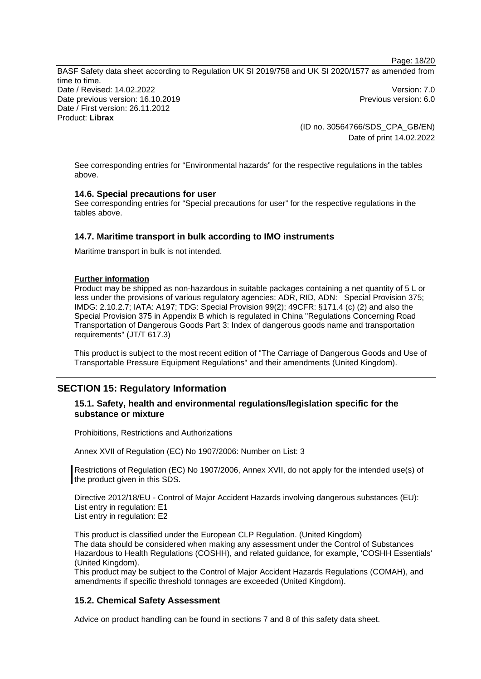Page: 18/20

BASF Safety data sheet according to Regulation UK SI 2019/758 and UK SI 2020/1577 as amended from time to time. Date / Revised: 14.02.2022 Version: 7.0 Date previous version: 16.10.2019 **Previous version: 6.0** Previous version: 6.0 Date / First version: 26.11.2012 Product: **Librax** 

(ID no. 30564766/SDS\_CPA\_GB/EN) Date of print 14.02.2022

See corresponding entries for "Environmental hazards" for the respective regulations in the tables above.

# **14.6. Special precautions for user**

See corresponding entries for "Special precautions for user" for the respective regulations in the tables above.

### **14.7. Maritime transport in bulk according to IMO instruments**

Maritime transport in bulk is not intended.

#### **Further information**

Product may be shipped as non-hazardous in suitable packages containing a net quantity of 5 L or less under the provisions of various regulatory agencies: ADR, RID, ADN: Special Provision 375; IMDG: 2.10.2.7; IATA: A197; TDG: Special Provision 99(2); 49CFR: §171.4 (c) (2) and also the Special Provision 375 in Appendix B which is regulated in China "Regulations Concerning Road Transportation of Dangerous Goods Part 3: Index of dangerous goods name and transportation requirements" (JT/T 617.3)

This product is subject to the most recent edition of "The Carriage of Dangerous Goods and Use of Transportable Pressure Equipment Regulations" and their amendments (United Kingdom).

# **SECTION 15: Regulatory Information**

### **15.1. Safety, health and environmental regulations/legislation specific for the substance or mixture**

#### Prohibitions, Restrictions and Authorizations

Annex XVII of Regulation (EC) No 1907/2006: Number on List: 3

Restrictions of Regulation (EC) No 1907/2006, Annex XVII, do not apply for the intended use(s) of the product given in this SDS.

Directive 2012/18/EU - Control of Major Accident Hazards involving dangerous substances (EU): List entry in regulation: E1 List entry in regulation: E2

This product is classified under the European CLP Regulation. (United Kingdom) The data should be considered when making any assessment under the Control of Substances Hazardous to Health Regulations (COSHH), and related guidance, for example, 'COSHH Essentials' (United Kingdom).

This product may be subject to the Control of Major Accident Hazards Regulations (COMAH), and amendments if specific threshold tonnages are exceeded (United Kingdom).

#### **15.2. Chemical Safety Assessment**

Advice on product handling can be found in sections 7 and 8 of this safety data sheet.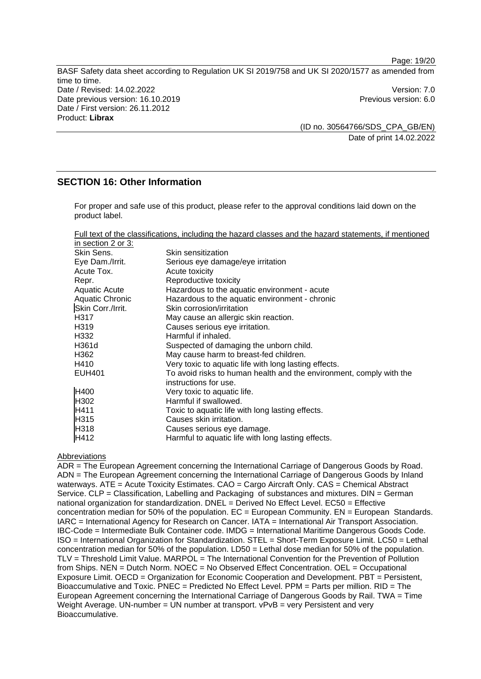Page: 19/20

BASF Safety data sheet according to Regulation UK SI 2019/758 and UK SI 2020/1577 as amended from time to time. Date / Revised: 14.02.2022 Version: 7.0 Date previous version: 16.10.2019 **Previous version: 6.0** Previous version: 6.0 Date / First version: 26.11.2012 Product: **Librax** 

(ID no. 30564766/SDS\_CPA\_GB/EN) Date of print 14.02.2022

# **SECTION 16: Other Information**

For proper and safe use of this product, please refer to the approval conditions laid down on the product label.

|--|

| in section 2 or 3: |                                                                     |
|--------------------|---------------------------------------------------------------------|
| Skin Sens.         | Skin sensitization                                                  |
| Eye Dam./Irrit.    | Serious eye damage/eye irritation                                   |
| Acute Tox.         | Acute toxicity                                                      |
| Repr.              | Reproductive toxicity                                               |
| Aquatic Acute      | Hazardous to the aquatic environment - acute                        |
| Aquatic Chronic    | Hazardous to the aquatic environment - chronic                      |
| Skin Corr./Irrit.  | Skin corrosion/irritation                                           |
| H317               | May cause an allergic skin reaction.                                |
| H319               | Causes serious eye irritation.                                      |
| H332               | Harmful if inhaled.                                                 |
| H361d              | Suspected of damaging the unborn child.                             |
| H362               | May cause harm to breast-fed children.                              |
| H410               | Very toxic to aquatic life with long lasting effects.               |
| <b>EUH401</b>      | To avoid risks to human health and the environment, comply with the |
|                    | instructions for use.                                               |
| H400               | Very toxic to aquatic life.                                         |
| H <sub>302</sub>   | Harmful if swallowed.                                               |
| H411               | Toxic to aquatic life with long lasting effects.                    |
| H315               | Causes skin irritation.                                             |
| H318               | Causes serious eye damage.                                          |
| H412               | Harmful to aquatic life with long lasting effects.                  |

#### Abbreviations

ADR = The European Agreement concerning the International Carriage of Dangerous Goods by Road. ADN = The European Agreement concerning the International Carriage of Dangerous Goods by Inland waterways. ATE = Acute Toxicity Estimates. CAO = Cargo Aircraft Only. CAS = Chemical Abstract Service. CLP = Classification, Labelling and Packaging of substances and mixtures. DIN = German national organization for standardization. DNEL = Derived No Effect Level. EC50 = Effective concentration median for 50% of the population.  $EC = European$  Community.  $EN = European$  Standards. IARC = International Agency for Research on Cancer. IATA = International Air Transport Association. IBC-Code = Intermediate Bulk Container code. IMDG = International Maritime Dangerous Goods Code. ISO = International Organization for Standardization. STEL = Short-Term Exposure Limit. LC50 = Lethal concentration median for 50% of the population. LD50 = Lethal dose median for 50% of the population. TLV = Threshold Limit Value. MARPOL = The International Convention for the Prevention of Pollution from Ships. NEN = Dutch Norm. NOEC = No Observed Effect Concentration. OEL = Occupational Exposure Limit. OECD = Organization for Economic Cooperation and Development. PBT = Persistent, Bioaccumulative and Toxic. PNEC = Predicted No Effect Level. PPM = Parts per million. RID = The European Agreement concerning the International Carriage of Dangerous Goods by Rail. TWA = Time Weight Average. UN-number = UN number at transport.  $vPvB = verv$  Persistent and very Bioaccumulative.